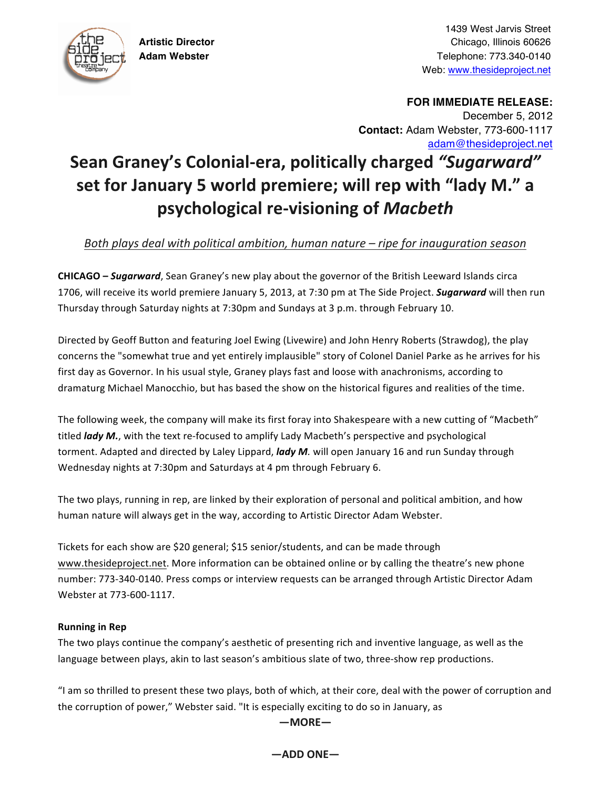

1439 West Jarvis Street **Artistic Director** Chicago, Illinois 60626 **Adam Webster** Telephone: 773.340-0140 Web: www.thesideproject.net

> **FOR IMMEDIATE RELEASE:** December 5, 2012 **Contact:** Adam Webster, 773-600-1117 adam@thesideproject.net

# **Sean Graney's Colonial-era, politically charged "Sugarward"** set for January 5 world premiere; will rep with "lady M." a **psychological%re/visioning%of%***Macbeth*

# *Both plays deal with political ambition, human nature – ripe for inauguration season*

**CHICAGO – Sugarward**, Sean Graney's new play about the governor of the British Leeward Islands circa 1706, will receive its world premiere January 5, 2013, at 7:30 pm at The Side Project. **Sugarward** will then run Thursday through Saturday nights at 7:30pm and Sundays at 3 p.m. through February 10.

Directed by Geoff Button and featuring Joel Ewing (Livewire) and John Henry Roberts (Strawdog), the play concerns the "somewhat true and yet entirely implausible" story of Colonel Daniel Parke as he arrives for his first day as Governor. In his usual style, Graney plays fast and loose with anachronisms, according to dramaturg Michael Manocchio, but has based the show on the historical figures and realities of the time.

The following week, the company will make its first foray into Shakespeare with a new cutting of "Macbeth" titled *lady M.*, with the text re-focused to amplify Lady Macbeth's perspective and psychological torment. Adapted and directed by Laley Lippard, *lady M*. will open January 16 and run Sunday through Wednesday nights at 7:30pm and Saturdays at 4 pm through February 6.

The two plays, running in rep, are linked by their exploration of personal and political ambition, and how human nature will always get in the way, according to Artistic Director Adam Webster.

Tickets for each show are \$20 general; \$15 senior/students, and can be made through www.thesideproject.net. More information can be obtained online or by calling the theatre's new phone number: 773-340-0140. Press comps or interview requests can be arranged through Artistic Director Adam Webster at 773-600-1117.

#### **Running in Rep**

The two plays continue the company's aesthetic of presenting rich and inventive language, as well as the language between plays, akin to last season's ambitious slate of two, three-show rep productions.

"I am so thrilled to present these two plays, both of which, at their core, deal with the power of corruption and the corruption of power," Webster said. "It is especially exciting to do so in January, as

## **—MORE—**

**—ADD%ONE—**